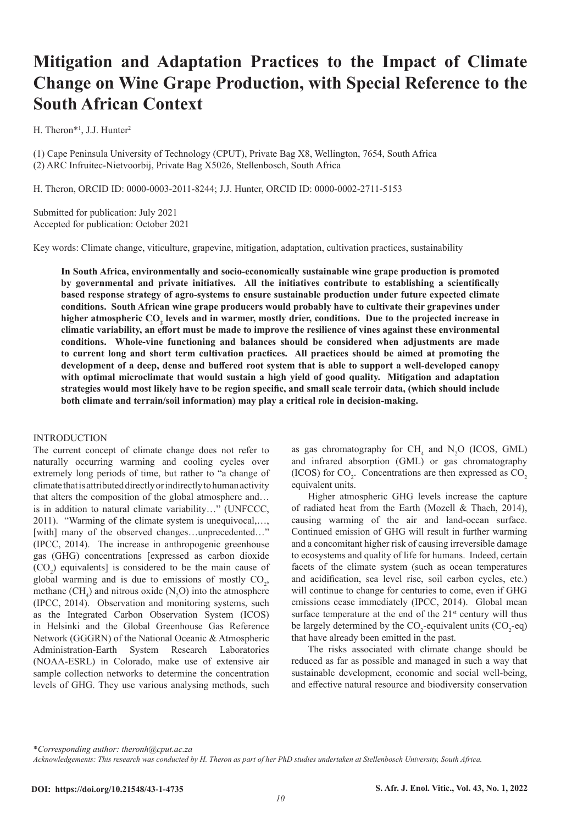# **Mitigation and Adaptation Practices to the Impact of Climate Change on Wine Grape Production, with Special Reference to the South African Context**

H. Theron<sup>\*1</sup>, J.J. Hunter<sup>2</sup>

(1) Cape Peninsula University of Technology (CPUT), Private Bag X8, Wellington, 7654, South Africa (2) ARC Infruitec-Nietvoorbij, Private Bag X5026, Stellenbosch, South Africa

H. Theron, ORCID ID: 0000-0003-2011-8244; J.J. Hunter, ORCID ID: 0000-0002-2711-5153

Submitted for publication: July 2021 Accepted for publication: October 2021

Key words: Climate change, viticulture, grapevine, mitigation, adaptation, cultivation practices, sustainability

**In South Africa, environmentally and socio-economically sustainable wine grape production is promoted by governmental and private initiatives. All the initiatives contribute to establishing a scientifically based response strategy of agro-systems to ensure sustainable production under future expected climate conditions. South African wine grape producers would probably have to cultivate their grapevines under**  higher atmospheric CO<sub>2</sub> levels and in warmer, mostly drier, conditions. Due to the projected increase in **climatic variability, an effort must be made to improve the resilience of vines against these environmental conditions. Whole-vine functioning and balances should be considered when adjustments are made to current long and short term cultivation practices. All practices should be aimed at promoting the development of a deep, dense and buffered root system that is able to support a well-developed canopy with optimal microclimate that would sustain a high yield of good quality. Mitigation and adaptation strategies would most likely have to be region specific, and small scale terroir data, (which should include both climate and terrain/soil information) may play a critical role in decision-making.** 

# INTRODUCTION

The current concept of climate change does not refer to naturally occurring warming and cooling cycles over extremely long periods of time, but rather to "a change of climate that is attributed directly or indirectly to human activity that alters the composition of the global atmosphere and… is in addition to natural climate variability…" (UNFCCC, 2011). "Warming of the climate system is unequivocal,…, [with] many of the observed changes...unprecedented..." (IPCC, 2014). The increase in anthropogenic greenhouse gas (GHG) concentrations [expressed as carbon dioxide  $(CO_2)$  equivalents] is considered to be the main cause of global warming and is due to emissions of mostly  $CO<sub>2</sub>$ , methane  $(CH_4)$  and nitrous oxide  $(N_2O)$  into the atmosphere (IPCC, 2014). Observation and monitoring systems, such as the Integrated Carbon Observation System (ICOS) in Helsinki and the Global Greenhouse Gas Reference Network (GGGRN) of the National Oceanic & Atmospheric Administration-Earth System Research Laboratories (NOAA-ESRL) in Colorado, make use of extensive air sample collection networks to determine the concentration levels of GHG. They use various analysing methods, such

as gas chromatography for  $CH_4$  and  $N_2O$  (ICOS, GML) and infrared absorption (GML) or gas chromatography (ICOS) for  $CO_2$ . Concentrations are then expressed as  $CO_2$ equivalent units.

Higher atmospheric GHG levels increase the capture of radiated heat from the Earth (Mozell & Thach, 2014), causing warming of the air and land-ocean surface. Continued emission of GHG will result in further warming and a concomitant higher risk of causing irreversible damage to ecosystems and quality of life for humans. Indeed, certain facets of the climate system (such as ocean temperatures and acidification, sea level rise, soil carbon cycles, etc.) will continue to change for centuries to come, even if GHG emissions cease immediately (IPCC, 2014). Global mean surface temperature at the end of the  $21<sup>st</sup>$  century will thus be largely determined by the  $CO_2$ -equivalent units  $(CO_2$ -eq) that have already been emitted in the past.

The risks associated with climate change should be reduced as far as possible and managed in such a way that sustainable development, economic and social well-being, and effective natural resource and biodiversity conservation

\**Corresponding author: theronh@cput.ac.za*

*Acknowledgements: This research was conducted by H. Theron as part of her PhD studies undertaken at Stellenbosch University, South Africa.*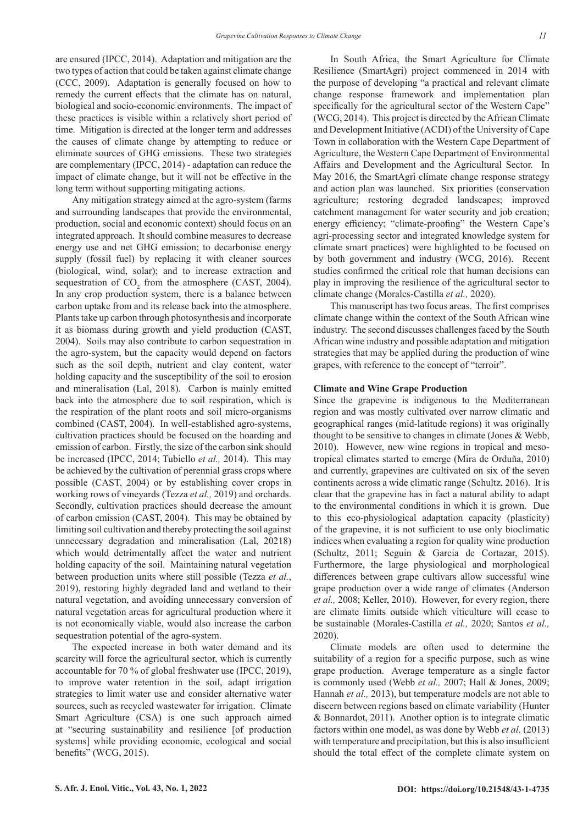are ensured (IPCC, 2014). Adaptation and mitigation are the two types of action that could be taken against climate change (CCC, 2009). Adaptation is generally focused on how to remedy the current effects that the climate has on natural, biological and socio-economic environments. The impact of these practices is visible within a relatively short period of time. Mitigation is directed at the longer term and addresses the causes of climate change by attempting to reduce or eliminate sources of GHG emissions. These two strategies are complementary (IPCC, 2014) - adaptation can reduce the impact of climate change, but it will not be effective in the long term without supporting mitigating actions.

Any mitigation strategy aimed at the agro-system (farms and surrounding landscapes that provide the environmental, production, social and economic context) should focus on an integrated approach. It should combine measures to decrease energy use and net GHG emission; to decarbonise energy supply (fossil fuel) by replacing it with cleaner sources (biological, wind, solar); and to increase extraction and sequestration of  $CO_2$  from the atmosphere (CAST, 2004). In any crop production system, there is a balance between carbon uptake from and its release back into the atmosphere. Plants take up carbon through photosynthesis and incorporate it as biomass during growth and yield production (CAST, 2004). Soils may also contribute to carbon sequestration in the agro-system, but the capacity would depend on factors such as the soil depth, nutrient and clay content, water holding capacity and the susceptibility of the soil to erosion and mineralisation (Lal, 2018). Carbon is mainly emitted back into the atmosphere due to soil respiration, which is the respiration of the plant roots and soil micro-organisms combined (CAST, 2004). In well-established agro-systems, cultivation practices should be focused on the hoarding and emission of carbon. Firstly, the size of the carbon sink should be increased (IPCC, 2014; Tubiello *et al.,* 2014). This may be achieved by the cultivation of perennial grass crops where possible (CAST, 2004) or by establishing cover crops in working rows of vineyards (Tezza *et al.,* 2019) and orchards. Secondly, cultivation practices should decrease the amount of carbon emission (CAST, 2004). This may be obtained by limiting soil cultivation and thereby protecting the soil against unnecessary degradation and mineralisation (Lal, 20218) which would detrimentally affect the water and nutrient holding capacity of the soil. Maintaining natural vegetation between production units where still possible (Tezza *et al.*, 2019), restoring highly degraded land and wetland to their natural vegetation, and avoiding unnecessary conversion of natural vegetation areas for agricultural production where it is not economically viable, would also increase the carbon sequestration potential of the agro-system.

The expected increase in both water demand and its scarcity will force the agricultural sector, which is currently accountable for 70 % of global freshwater use (IPCC, 2019), to improve water retention in the soil, adapt irrigation strategies to limit water use and consider alternative water sources, such as recycled wastewater for irrigation. Climate Smart Agriculture (CSA) is one such approach aimed at "securing sustainability and resilience [of production systems] while providing economic, ecological and social benefits" (WCG, 2015).

In South Africa, the Smart Agriculture for Climate Resilience (SmartAgri) project commenced in 2014 with the purpose of developing "a practical and relevant climate change response framework and implementation plan specifically for the agricultural sector of the Western Cape" (WCG, 2014). This project is directed by the African Climate and Development Initiative (ACDI) of the University of Cape Town in collaboration with the Western Cape Department of Agriculture, the Western Cape Department of Environmental Affairs and Development and the Agricultural Sector. In May 2016, the SmartAgri climate change response strategy and action plan was launched. Six priorities (conservation agriculture; restoring degraded landscapes; improved catchment management for water security and job creation; energy efficiency; "climate-proofing" the Western Cape's agri-processing sector and integrated knowledge system for climate smart practices) were highlighted to be focused on by both government and industry (WCG, 2016). Recent studies confirmed the critical role that human decisions can play in improving the resilience of the agricultural sector to climate change (Morales-Castilla *et al.,* 2020).

This manuscript has two focus areas. The first comprises climate change within the context of the South African wine industry. The second discusses challenges faced by the South African wine industry and possible adaptation and mitigation strategies that may be applied during the production of wine grapes, with reference to the concept of "terroir".

## **Climate and Wine Grape Production**

Since the grapevine is indigenous to the Mediterranean region and was mostly cultivated over narrow climatic and geographical ranges (mid-latitude regions) it was originally thought to be sensitive to changes in climate (Jones & Webb, 2010). However, new wine regions in tropical and mesotropical climates started to emerge (Mira de Orduña, 2010) and currently, grapevines are cultivated on six of the seven continents across a wide climatic range (Schultz, 2016). It is clear that the grapevine has in fact a natural ability to adapt to the environmental conditions in which it is grown. Due to this eco-physiological adaptation capacity (plasticity) of the grapevine, it is not sufficient to use only bioclimatic indices when evaluating a region for quality wine production (Schultz, 2011; Seguin & Garcia de Cortazar, 2015). Furthermore, the large physiological and morphological differences between grape cultivars allow successful wine grape production over a wide range of climates (Anderson *et al.,* 2008; Keller, 2010). However, for every region, there are climate limits outside which viticulture will cease to be sustainable (Morales-Castilla *et al.,* 2020; Santos *et al.,* 2020).

Climate models are often used to determine the suitability of a region for a specific purpose, such as wine grape production. Average temperature as a single factor is commonly used (Webb *et al.,* 2007; Hall & Jones, 2009; Hannah *et al.,* 2013), but temperature models are not able to discern between regions based on climate variability (Hunter & Bonnardot, 2011). Another option is to integrate climatic factors within one model, as was done by Webb *et al.* (2013) with temperature and precipitation, but this is also insufficient should the total effect of the complete climate system on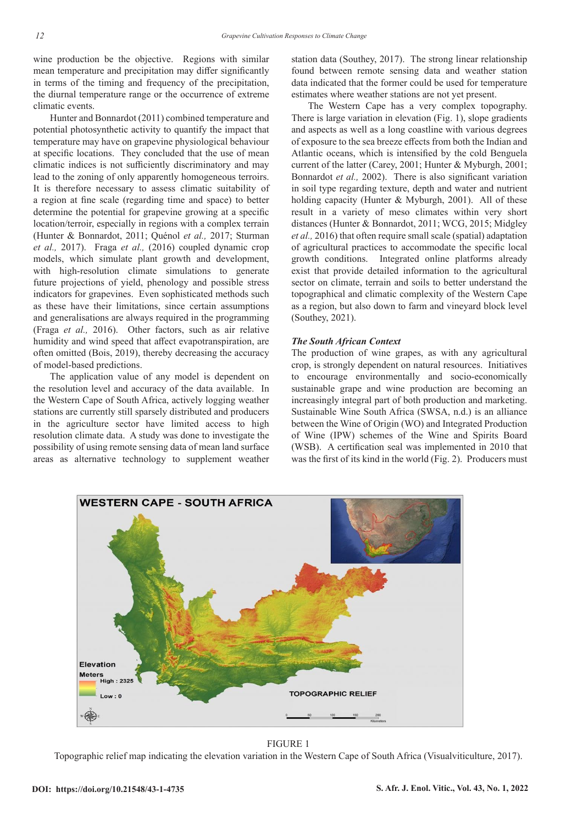wine production be the objective. Regions with similar mean temperature and precipitation may differ significantly in terms of the timing and frequency of the precipitation, the diurnal temperature range or the occurrence of extreme climatic events.

Hunter and Bonnardot (2011) combined temperature and potential photosynthetic activity to quantify the impact that temperature may have on grapevine physiological behaviour at specific locations. They concluded that the use of mean climatic indices is not sufficiently discriminatory and may lead to the zoning of only apparently homogeneous terroirs. It is therefore necessary to assess climatic suitability of a region at fine scale (regarding time and space) to better determine the potential for grapevine growing at a specific location/terroir, especially in regions with a complex terrain (Hunter & Bonnardot, 2011; Quénol *et al.,* 2017; Sturman *et al.,* 2017). Fraga *et al.,* (2016) coupled dynamic crop models, which simulate plant growth and development, with high-resolution climate simulations to generate future projections of yield, phenology and possible stress indicators for grapevines. Even sophisticated methods such as these have their limitations, since certain assumptions and generalisations are always required in the programming (Fraga *et al.,* 2016). Other factors, such as air relative humidity and wind speed that affect evapotranspiration, are often omitted (Bois, 2019), thereby decreasing the accuracy of model-based predictions.

The application value of any model is dependent on the resolution level and accuracy of the data available. In the Western Cape of South Africa, actively logging weather stations are currently still sparsely distributed and producers in the agriculture sector have limited access to high resolution climate data. A study was done to investigate the possibility of using remote sensing data of mean land surface areas as alternative technology to supplement weather station data (Southey, 2017). The strong linear relationship found between remote sensing data and weather station data indicated that the former could be used for temperature estimates where weather stations are not yet present.

The Western Cape has a very complex topography. There is large variation in elevation (Fig. 1), slope gradients and aspects as well as a long coastline with various degrees of exposure to the sea breeze effects from both the Indian and Atlantic oceans, which is intensified by the cold Benguela current of the latter (Carey, 2001; Hunter & Myburgh, 2001; Bonnardot *et al.,* 2002). There is also significant variation in soil type regarding texture, depth and water and nutrient holding capacity (Hunter & Myburgh, 2001). All of these result in a variety of meso climates within very short distances (Hunter & Bonnardot, 2011; WCG, 2015; Midgley *et al.,* 2016) that often require small scale (spatial) adaptation of agricultural practices to accommodate the specific local growth conditions. Integrated online platforms already exist that provide detailed information to the agricultural sector on climate, terrain and soils to better understand the topographical and climatic complexity of the Western Cape as a region, but also down to farm and vineyard block level (Southey, 2021).

## *The South African Context*

The production of wine grapes, as with any agricultural crop, is strongly dependent on natural resources. Initiatives to encourage environmentally and socio-economically sustainable grape and wine production are becoming an increasingly integral part of both production and marketing. Sustainable Wine South Africa (SWSA, n.d.) is an alliance between the Wine of Origin (WO) and Integrated Production of Wine (IPW) schemes of the Wine and Spirits Board (WSB). A certification seal was implemented in 2010 that was the first of its kind in the world (Fig. 2). Producers must



#### FIGURE 1

Topographic relief map indicating the elevation variation in the Western Cape of South Africa (Visualviticulture, 2017).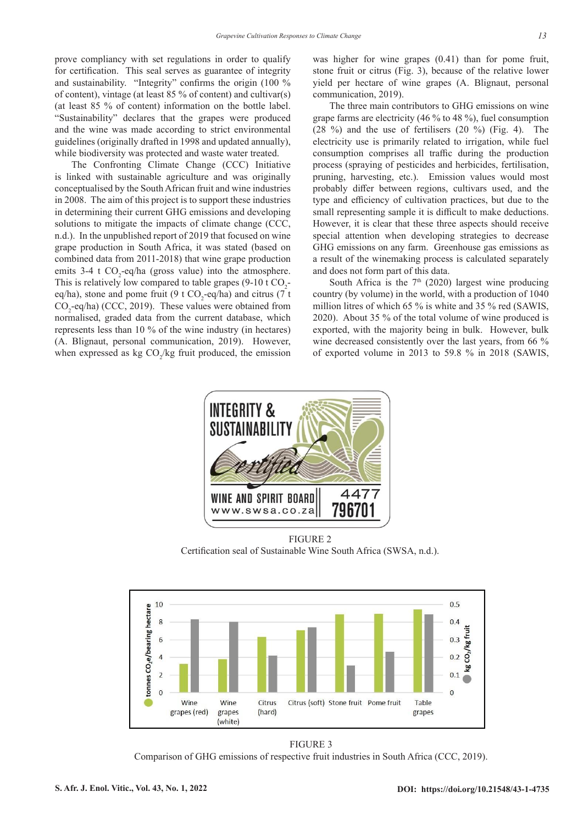prove compliancy with set regulations in order to qualify for certification. This seal serves as guarantee of integrity and sustainability. "Integrity" confirms the origin (100 % of content), vintage (at least 85 % of content) and cultivar(s) (at least 85 % of content) information on the bottle label. "Sustainability" declares that the grapes were produced and the wine was made according to strict environmental guidelines (originally drafted in 1998 and updated annually), while biodiversity was protected and waste water treated.

The Confronting Climate Change (CCC) Initiative is linked with sustainable agriculture and was originally conceptualised by the South African fruit and wine industries in 2008. The aim of this project is to support these industries in determining their current GHG emissions and developing solutions to mitigate the impacts of climate change (CCC, n.d.). In the unpublished report of 2019 that focused on wine grape production in South Africa, it was stated (based on combined data from 2011-2018) that wine grape production emits 3-4 t  $CO_2$ -eq/ha (gross value) into the atmosphere. This is relatively low compared to table grapes  $(9-10 \text{ t } CO_2$ eq/ha), stone and pome fruit (9 t CO<sub>2</sub>-eq/ha) and citrus (7 t  $CO_2$ -eq/ha) (CCC, 2019). These values were obtained from normalised, graded data from the current database, which represents less than 10 % of the wine industry (in hectares) (A. Blignaut, personal communication, 2019). However, when expressed as  $kg CO_2/kg$  fruit produced, the emission was higher for wine grapes (0.41) than for pome fruit, stone fruit or citrus (Fig. 3), because of the relative lower yield per hectare of wine grapes (A. Blignaut, personal communication, 2019).

The three main contributors to GHG emissions on wine grape farms are electricity (46 % to 48 %), fuel consumption (28 %) and the use of fertilisers (20 %) (Fig. 4). The electricity use is primarily related to irrigation, while fuel consumption comprises all traffic during the production process (spraying of pesticides and herbicides, fertilisation, pruning, harvesting, etc.). Emission values would most probably differ between regions, cultivars used, and the type and efficiency of cultivation practices, but due to the small representing sample it is difficult to make deductions. However, it is clear that these three aspects should receive special attention when developing strategies to decrease GHG emissions on any farm. Greenhouse gas emissions as a result of the winemaking process is calculated separately and does not form part of this data.

South Africa is the  $7<sup>th</sup>$  (2020) largest wine producing country (by volume) in the world, with a production of 1040 million litres of which 65 % is white and 35 % red (SAWIS, 2020). About 35 % of the total volume of wine produced is exported, with the majority being in bulk. However, bulk wine decreased consistently over the last years, from 66 % of exported volume in 2013 to 59.8 % in 2018 (SAWIS,



FIGURE 2 Certification seal of Sustainable Wine South Africa (SWSA, n.d.).



FIGURE 3 Comparison of GHG emissions of respective fruit industries in South Africa (CCC, 2019).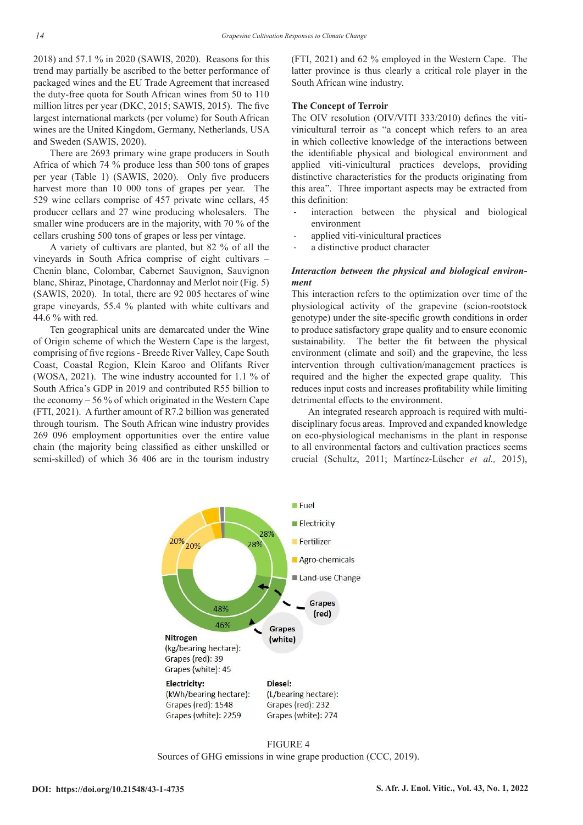2018) and 57.1 % in 2020 (SAWIS, 2020). Reasons for this trend may partially be ascribed to the better performance of packaged wines and the EU Trade Agreement that increased the duty-free quota for South African wines from 50 to 110 million litres per year (DKC, 2015; SAWIS, 2015). The five largest international markets (per volume) for South African wines are the United Kingdom, Germany, Netherlands, USA and Sweden (SAWIS, 2020).

There are 2693 primary wine grape producers in South Africa of which 74 % produce less than 500 tons of grapes per year (Table 1) (SAWIS, 2020). Only five producers harvest more than 10 000 tons of grapes per year. The 529 wine cellars comprise of 457 private wine cellars, 45 producer cellars and 27 wine producing wholesalers. The smaller wine producers are in the majority, with 70 % of the cellars crushing 500 tons of grapes or less per vintage.

A variety of cultivars are planted, but 82 % of all the vineyards in South Africa comprise of eight cultivars – Chenin blanc, Colombar, Cabernet Sauvignon, Sauvignon blanc, Shiraz, Pinotage, Chardonnay and Merlot noir (Fig. 5) (SAWIS, 2020). In total, there are 92 005 hectares of wine grape vineyards, 55.4 % planted with white cultivars and 44.6 % with red.

Ten geographical units are demarcated under the Wine of Origin scheme of which the Western Cape is the largest, comprising of five regions - Breede River Valley, Cape South Coast, Coastal Region, Klein Karoo and Olifants River (WOSA, 2021). The wine industry accounted for 1.1 % of South Africa's GDP in 2019 and contributed R55 billion to the economy – 56 % of which originated in the Western Cape (FTI, 2021). A further amount of R7.2 billion was generated through tourism. The South African wine industry provides 269 096 employment opportunities over the entire value chain (the majority being classified as either unskilled or semi-skilled) of which 36 406 are in the tourism industry

(FTI, 2021) and 62 % employed in the Western Cape. The latter province is thus clearly a critical role player in the South African wine industry.

#### **The Concept of Terroir**

The OIV resolution (OIV/VITI 333/2010) defines the vitivinicultural terroir as "a concept which refers to an area in which collective knowledge of the interactions between the identifiable physical and biological environment and applied viti-vinicultural practices develops, providing distinctive characteristics for the products originating from this area". Three important aspects may be extracted from this definition:

- interaction between the physical and biological environment
- applied viti-vinicultural practices
- a distinctive product character

## *Interaction between the physical and biological environment*

This interaction refers to the optimization over time of the physiological activity of the grapevine (scion-rootstock genotype) under the site-specific growth conditions in order to produce satisfactory grape quality and to ensure economic sustainability. The better the fit between the physical environment (climate and soil) and the grapevine, the less intervention through cultivation/management practices is required and the higher the expected grape quality. This reduces input costs and increases profitability while limiting detrimental effects to the environment.

An integrated research approach is required with multidisciplinary focus areas. Improved and expanded knowledge on eco-physiological mechanisms in the plant in response to all environmental factors and cultivation practices seems crucial (Schultz, 2011; Martínez-Lüscher *et al.,* 2015),



# FIGURE 4

Sources of GHG emissions in wine grape production (CCC, 2019).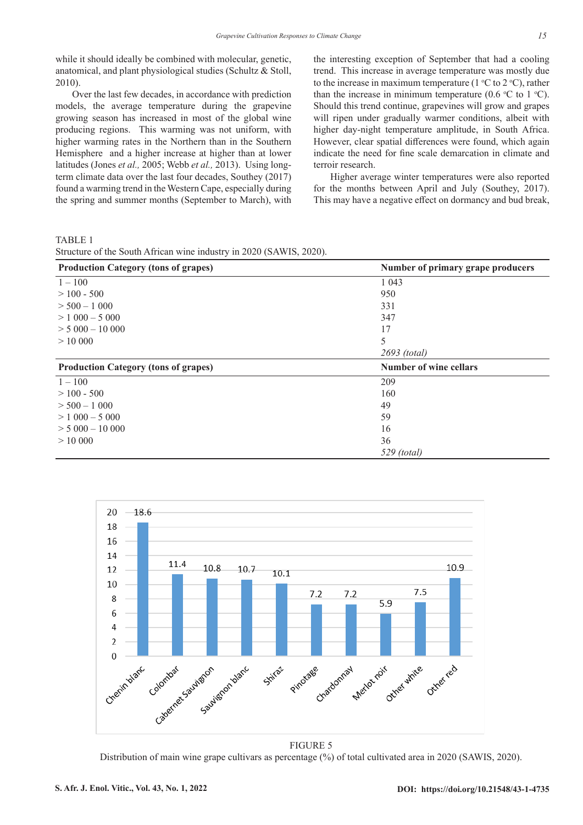while it should ideally be combined with molecular, genetic, anatomical, and plant physiological studies (Schultz & Stoll, 2010).

Over the last few decades, in accordance with prediction models, the average temperature during the grapevine growing season has increased in most of the global wine producing regions. This warming was not uniform, with higher warming rates in the Northern than in the Southern Hemisphere and a higher increase at higher than at lower latitudes (Jones *et al.,* 2005; Webb *et al.,* 2013). Using longterm climate data over the last four decades, Southey (2017) found a warming trend in the Western Cape, especially during the spring and summer months (September to March), with

the interesting exception of September that had a cooling trend. This increase in average temperature was mostly due to the increase in maximum temperature ( $1^{\circ}$ C to  $2^{\circ}$ C), rather than the increase in minimum temperature (0.6  $\degree$ C to 1  $\degree$ C). Should this trend continue, grapevines will grow and grapes will ripen under gradually warmer conditions, albeit with higher day-night temperature amplitude, in South Africa. However, clear spatial differences were found, which again indicate the need for fine scale demarcation in climate and terroir research.

Higher average winter temperatures were also reported for the months between April and July (Southey, 2017). This may have a negative effect on dormancy and bud break,

TABLE 1

| Structure of the South African wine industry in 2020 (SAWIS, 2020). |  |  |  |  |  |  |
|---------------------------------------------------------------------|--|--|--|--|--|--|
|                                                                     |  |  |  |  |  |  |

| <b>Production Category (tons of grapes)</b> | Number of primary grape producers |  |  |  |  |  |
|---------------------------------------------|-----------------------------------|--|--|--|--|--|
| $1 - 100$                                   | 1 0 4 3                           |  |  |  |  |  |
| $>100 - 500$                                | 950                               |  |  |  |  |  |
| $> 500 - 1000$                              | 331                               |  |  |  |  |  |
| $> 1000 - 5000$                             | 347                               |  |  |  |  |  |
| $> 5000 - 10000$                            | 17                                |  |  |  |  |  |
| >10000                                      | 5                                 |  |  |  |  |  |
|                                             | 2693 (total)                      |  |  |  |  |  |
| <b>Production Category (tons of grapes)</b> | <b>Number of wine cellars</b>     |  |  |  |  |  |
| $1 - 100$                                   | 209                               |  |  |  |  |  |
| $>100 - 500$                                | 160                               |  |  |  |  |  |
| $>$ 500 $-$ 1 000                           | 49                                |  |  |  |  |  |
| $> 1000 - 5000$                             | 59                                |  |  |  |  |  |
| $> 5000 - 10000$                            | 16                                |  |  |  |  |  |
| >10000                                      | 36                                |  |  |  |  |  |
|                                             | $529$ (total)                     |  |  |  |  |  |



FIGURE 5

Distribution of main wine grape cultivars as percentage (%) of total cultivated area in 2020 (SAWIS, 2020).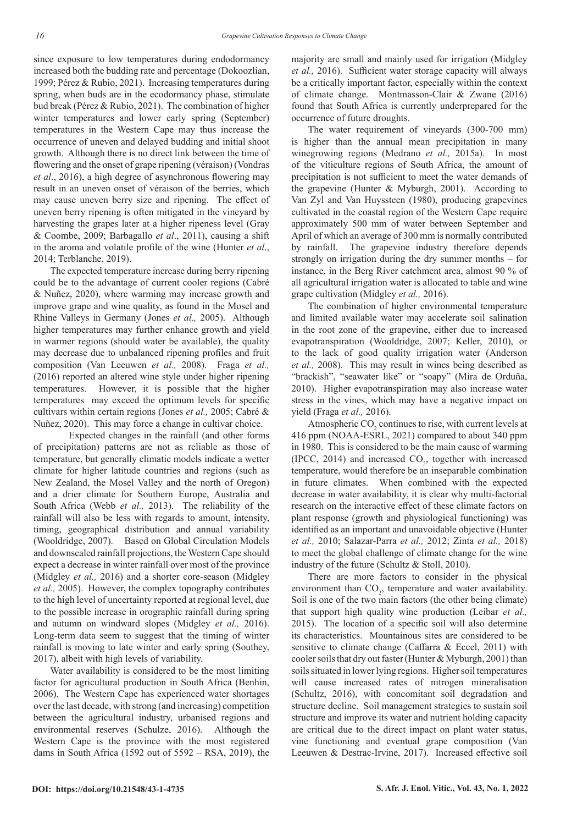since exposure to low temperatures during endodormancy increased both the budding rate and percentage (Dokoozlian, 1999; Pérez & Rubio, 2021). Increasing temperatures during spring, when buds are in the ecodormancy phase, stimulate bud break (Pérez & Rubio, 2021). The combination of higher winter temperatures and lower early spring (September) temperatures in the Western Cape may thus increase the occurrence of uneven and delayed budding and initial shoot growth. Although there is no direct link between the time of flowering and the onset of grape ripening (véraison) (Vondras *et al*., 2016), a high degree of asynchronous flowering may result in an uneven onset of véraison of the berries, which may cause uneven berry size and ripening. The effect of uneven berry ripening is often mitigated in the vineyard by harvesting the grapes later at a higher ripeness level (Gray & Coombe, 2009; Barbagallo *et al*., 2011), causing a shift in the aroma and volatile profile of the wine (Hunter *et al*., 2014; Terblanche, 2019).

The expected temperature increase during berry ripening could be to the advantage of current cooler regions (Cabré & Nuñez, 2020), where warming may increase growth and improve grape and wine quality, as found in the Mosel and Rhine Valleys in Germany (Jones *et al.,* 2005). Although higher temperatures may further enhance growth and yield in warmer regions (should water be available), the quality may decrease due to unbalanced ripening profiles and fruit composition (Van Leeuwen *et al.,* 2008). Fraga *et al.,*  (2016) reported an altered wine style under higher ripening temperatures. However, it is possible that the higher temperatures may exceed the optimum levels for specific cultivars within certain regions (Jones *et al.,* 2005; Cabré & Nuñez, 2020). This may force a change in cultivar choice.

Expected changes in the rainfall (and other forms of precipitation) patterns are not as reliable as those of temperature, but generally climatic models indicate a wetter climate for higher latitude countries and regions (such as New Zealand, the Mosel Valley and the north of Oregon) and a drier climate for Southern Europe, Australia and South Africa (Webb *et al.,* 2013). The reliability of the rainfall will also be less with regards to amount, intensity, timing, geographical distribution and annual variability (Wooldridge, 2007). Based on Global Circulation Models and downscaled rainfall projections, the Western Cape should expect a decrease in winter rainfall over most of the province (Midgley *et al.,* 2016) and a shorter core-season (Midgley *et al.,* 2005). However, the complex topography contributes to the high level of uncertainty reported at regional level, due to the possible increase in orographic rainfall during spring and autumn on windward slopes (Midgley *et al.,* 2016). Long-term data seem to suggest that the timing of winter rainfall is moving to late winter and early spring (Southey, 2017), albeit with high levels of variability.

Water availability is considered to be the most limiting factor for agricultural production in South Africa (Benhin, 2006). The Western Cape has experienced water shortages over the last decade, with strong (and increasing) competition between the agricultural industry, urbanised regions and environmental reserves (Schulze, 2016). Although the Western Cape is the province with the most registered dams in South Africa (1592 out of 5592 – RSA, 2019), the majority are small and mainly used for irrigation (Midgley *et al.,* 2016). Sufficient water storage capacity will always be a critically important factor, especially within the context of climate change. Montmasson-Clair & Zwane (2016) found that South Africa is currently underprepared for the occurrence of future droughts.

The water requirement of vineyards (300-700 mm) is higher than the annual mean precipitation in many winegrowing regions (Medrano *et al.,* 2015a). In most of the viticulture regions of South Africa, the amount of precipitation is not sufficient to meet the water demands of the grapevine (Hunter & Myburgh, 2001). According to Van Zyl and Van Huyssteen (1980), producing grapevines cultivated in the coastal region of the Western Cape require approximately 500 mm of water between September and April of which an average of 300 mm is normally contributed by rainfall. The grapevine industry therefore depends strongly on irrigation during the dry summer months – for instance, in the Berg River catchment area, almost 90 % of all agricultural irrigation water is allocated to table and wine grape cultivation (Midgley *et al.,* 2016).

The combination of higher environmental temperature and limited available water may accelerate soil salination in the root zone of the grapevine, either due to increased evapotranspiration (Wooldridge, 2007; Keller, 2010), or to the lack of good quality irrigation water (Anderson *et al.,* 2008). This may result in wines being described as "brackish", "seawater like" or "soapy" (Mira de Orduña, 2010). Higher evapotranspiration may also increase water stress in the vines, which may have a negative impact on yield (Fraga *et al.,* 2016).

Atmospheric  $CO<sub>2</sub>$  continues to rise, with current levels at 416 ppm (NOAA-ESRL, 2021) compared to about 340 ppm in 1980. This is considered to be the main cause of warming (IPCC, 2014) and increased  $CO<sub>2</sub>$ , together with increased temperature, would therefore be an inseparable combination in future climates. When combined with the expected decrease in water availability, it is clear why multi-factorial research on the interactive effect of these climate factors on plant response (growth and physiological functioning) was identified as an important and unavoidable objective (Hunter *et al.,* 2010; Salazar-Parra *et al.,* 2012; Zinta *et al.,* 2018) to meet the global challenge of climate change for the wine industry of the future (Schultz & Stoll, 2010).

There are more factors to consider in the physical environment than  $CO<sub>2</sub>$ , temperature and water availability. Soil is one of the two main factors (the other being climate) that support high quality wine production (Leibar *et al.,*  2015). The location of a specific soil will also determine its characteristics. Mountainous sites are considered to be sensitive to climate change (Caffarra & Eccel, 2011) with cooler soils that dry out faster (Hunter & Myburgh, 2001) than soils situated in lower lying regions. Higher soil temperatures will cause increased rates of nitrogen mineralisation (Schultz, 2016), with concomitant soil degradation and structure decline. Soil management strategies to sustain soil structure and improve its water and nutrient holding capacity are critical due to the direct impact on plant water status, vine functioning and eventual grape composition (Van Leeuwen & Destrac-Irvine, 2017). Increased effective soil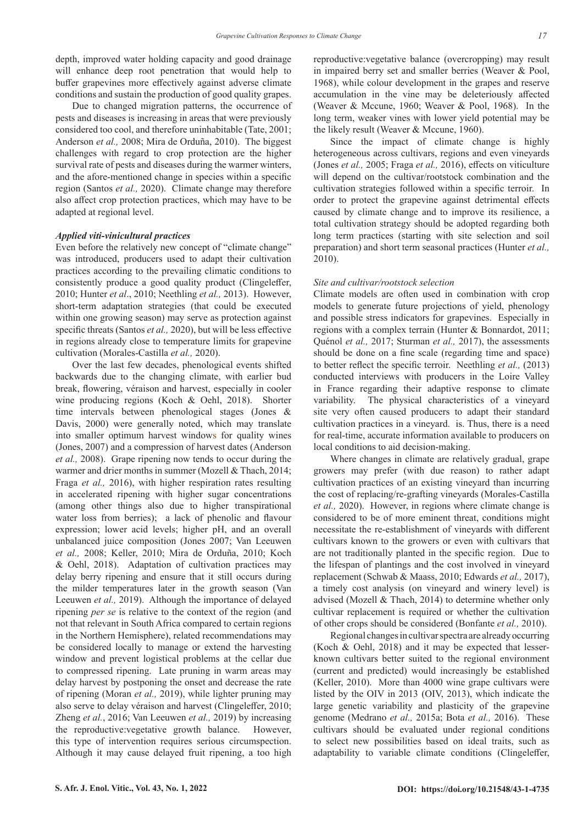depth, improved water holding capacity and good drainage will enhance deep root penetration that would help to buffer grapevines more effectively against adverse climate conditions and sustain the production of good quality grapes.

Due to changed migration patterns, the occurrence of pests and diseases is increasing in areas that were previously considered too cool, and therefore uninhabitable (Tate, 2001; Anderson *et al.,* 2008; Mira de Orduña, 2010). The biggest challenges with regard to crop protection are the higher survival rate of pests and diseases during the warmer winters, and the afore-mentioned change in species within a specific region (Santos *et al.,* 2020). Climate change may therefore also affect crop protection practices, which may have to be adapted at regional level.

#### *Applied viti-vinicultural practices*

Even before the relatively new concept of "climate change" was introduced, producers used to adapt their cultivation practices according to the prevailing climatic conditions to consistently produce a good quality product (Clingeleffer, 2010; Hunter *et al*., 2010; Neethling *et al.,* 2013). However, short-term adaptation strategies (that could be executed within one growing season) may serve as protection against specific threats (Santos *et al.,* 2020), but will be less effective in regions already close to temperature limits for grapevine cultivation (Morales-Castilla *et al.,* 2020).

Over the last few decades, phenological events shifted backwards due to the changing climate, with earlier bud break, flowering, véraison and harvest, especially in cooler wine producing regions (Koch & Oehl, 2018). Shorter time intervals between phenological stages (Jones & Davis, 2000) were generally noted, which may translate into smaller optimum harvest windows for quality wines (Jones, 2007) and a compression of harvest dates (Anderson *et al.,* 2008). Grape ripening now tends to occur during the warmer and drier months in summer (Mozell & Thach, 2014; Fraga *et al.,* 2016), with higher respiration rates resulting in accelerated ripening with higher sugar concentrations (among other things also due to higher transpirational water loss from berries); a lack of phenolic and flavour expression; lower acid levels; higher pH, and an overall unbalanced juice composition (Jones 2007; Van Leeuwen *et al.,* 2008; Keller, 2010; Mira de Orduña, 2010; Koch & Oehl, 2018). Adaptation of cultivation practices may delay berry ripening and ensure that it still occurs during the milder temperatures later in the growth season (Van Leeuwen *et al.,* 2019). Although the importance of delayed ripening *per se* is relative to the context of the region (and not that relevant in South Africa compared to certain regions in the Northern Hemisphere), related recommendations may be considered locally to manage or extend the harvesting window and prevent logistical problems at the cellar due to compressed ripening. Late pruning in warm areas may delay harvest by postponing the onset and decrease the rate of ripening (Moran *et al.,* 2019), while lighter pruning may also serve to delay véraison and harvest (Clingeleffer, 2010; Zheng *et al.*, 2016; Van Leeuwen *et al.,* 2019) by increasing the reproductive:vegetative growth balance. However, this type of intervention requires serious circumspection. Although it may cause delayed fruit ripening, a too high

reproductive:vegetative balance (overcropping) may result in impaired berry set and smaller berries (Weaver & Pool, 1968), while colour development in the grapes and reserve accumulation in the vine may be deleteriously affected (Weaver & Mccune, 1960; Weaver & Pool, 1968). In the long term, weaker vines with lower yield potential may be the likely result (Weaver & Mccune, 1960).

Since the impact of climate change is highly heterogeneous across cultivars, regions and even vineyards (Jones *et al.,* 2005; Fraga *et al.,* 2016), effects on viticulture will depend on the cultivar/rootstock combination and the cultivation strategies followed within a specific terroir. In order to protect the grapevine against detrimental effects caused by climate change and to improve its resilience, a total cultivation strategy should be adopted regarding both long term practices (starting with site selection and soil preparation) and short term seasonal practices (Hunter *et al.,*  2010).

## *Site and cultivar/rootstock selection*

Climate models are often used in combination with crop models to generate future projections of yield, phenology and possible stress indicators for grapevines. Especially in regions with a complex terrain (Hunter & Bonnardot, 2011; Quénol *et al.,* 2017; Sturman *et al.,* 2017), the assessments should be done on a fine scale (regarding time and space) to better reflect the specific terroir. Neethling *et al.,* (2013) conducted interviews with producers in the Loire Valley in France regarding their adaptive response to climate variability. The physical characteristics of a vineyard site very often caused producers to adapt their standard cultivation practices in a vineyard. is. Thus, there is a need for real-time, accurate information available to producers on local conditions to aid decision-making.

Where changes in climate are relatively gradual, grape growers may prefer (with due reason) to rather adapt cultivation practices of an existing vineyard than incurring the cost of replacing/re-grafting vineyards (Morales-Castilla *et al.,* 2020). However, in regions where climate change is considered to be of more eminent threat, conditions might necessitate the re-establishment of vineyards with different cultivars known to the growers or even with cultivars that are not traditionally planted in the specific region. Due to the lifespan of plantings and the cost involved in vineyard replacement (Schwab & Maass, 2010; Edwards *et al.,* 2017), a timely cost analysis (on vineyard and winery level) is advised (Mozell & Thach, 2014) to determine whether only cultivar replacement is required or whether the cultivation of other crops should be considered (Bonfante *et al.,* 2010).

Regional changes in cultivar spectra are already occurring (Koch & Oehl, 2018) and it may be expected that lesserknown cultivars better suited to the regional environment (current and predicted) would increasingly be established (Keller, 2010). More than 4000 wine grape cultivars were listed by the OIV in 2013 (OIV, 2013), which indicate the large genetic variability and plasticity of the grapevine genome (Medrano *et al.,* 2015a; Bota *et al.,* 2016). These cultivars should be evaluated under regional conditions to select new possibilities based on ideal traits, such as adaptability to variable climate conditions (Clingeleffer,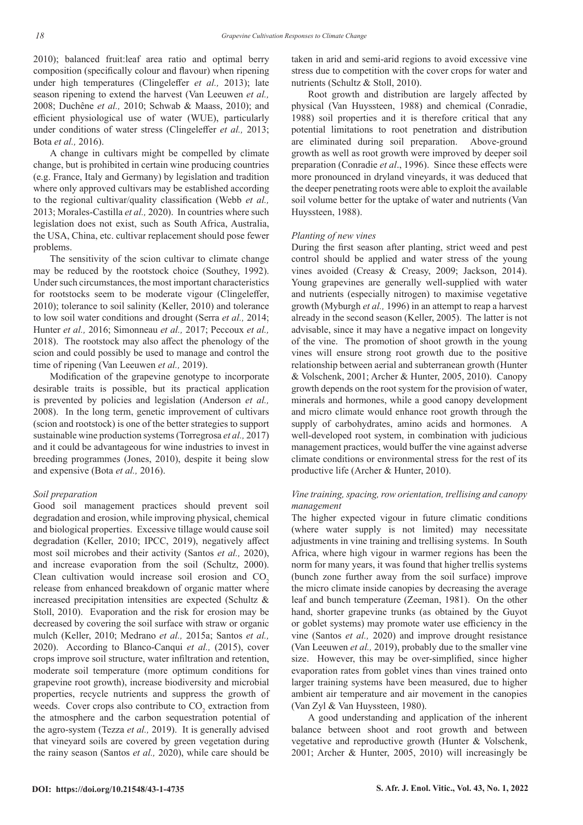2010); balanced fruit:leaf area ratio and optimal berry composition (specifically colour and flavour) when ripening under high temperatures (Clingeleffer *et al.,* 2013); late season ripening to extend the harvest (Van Leeuwen *et al.,*  2008; Duchêne *et al.,* 2010; Schwab & Maass, 2010); and efficient physiological use of water (WUE), particularly under conditions of water stress (Clingeleffer *et al.,* 2013; Bota *et al.,* 2016).

A change in cultivars might be compelled by climate change, but is prohibited in certain wine producing countries (e.g. France, Italy and Germany) by legislation and tradition where only approved cultivars may be established according to the regional cultivar/quality classification (Webb *et al.,*  2013; Morales-Castilla *et al.,* 2020). In countries where such legislation does not exist, such as South Africa, Australia, the USA, China, etc. cultivar replacement should pose fewer problems.

The sensitivity of the scion cultivar to climate change may be reduced by the rootstock choice (Southey, 1992). Under such circumstances, the most important characteristics for rootstocks seem to be moderate vigour (Clingeleffer, 2010); tolerance to soil salinity (Keller, 2010) and tolerance to low soil water conditions and drought (Serra *et al.,* 2014; Hunter *et al.,* 2016; Simonneau *et al.,* 2017; Peccoux *et al.,*  2018). The rootstock may also affect the phenology of the scion and could possibly be used to manage and control the time of ripening (Van Leeuwen *et al.,* 2019).

Modification of the grapevine genotype to incorporate desirable traits is possible, but its practical application is prevented by policies and legislation (Anderson *et al.,*  2008). In the long term, genetic improvement of cultivars (scion and rootstock) is one of the better strategies to support sustainable wine production systems (Torregrosa *et al.,* 2017) and it could be advantageous for wine industries to invest in breeding programmes (Jones, 2010), despite it being slow and expensive (Bota *et al.,* 2016).

#### *Soil preparation*

Good soil management practices should prevent soil degradation and erosion, while improving physical, chemical and biological properties. Excessive tillage would cause soil degradation (Keller, 2010; IPCC, 2019), negatively affect most soil microbes and their activity (Santos *et al.,* 2020), and increase evaporation from the soil (Schultz, 2000). Clean cultivation would increase soil erosion and  $CO<sub>2</sub>$ release from enhanced breakdown of organic matter where increased precipitation intensities are expected (Schultz & Stoll, 2010). Evaporation and the risk for erosion may be decreased by covering the soil surface with straw or organic mulch (Keller, 2010; Medrano *et al.,* 2015a; Santos *et al.,*  2020). According to Blanco-Canqui *et al.,* (2015), cover crops improve soil structure, water infiltration and retention, moderate soil temperature (more optimum conditions for grapevine root growth), increase biodiversity and microbial properties, recycle nutrients and suppress the growth of weeds. Cover crops also contribute to  $CO_2$  extraction from the atmosphere and the carbon sequestration potential of the agro-system (Tezza *et al.,* 2019). It is generally advised that vineyard soils are covered by green vegetation during the rainy season (Santos *et al.,* 2020), while care should be

taken in arid and semi-arid regions to avoid excessive vine stress due to competition with the cover crops for water and nutrients (Schultz & Stoll, 2010).

Root growth and distribution are largely affected by physical (Van Huyssteen, 1988) and chemical (Conradie, 1988) soil properties and it is therefore critical that any potential limitations to root penetration and distribution are eliminated during soil preparation. Above-ground growth as well as root growth were improved by deeper soil preparation (Conradie *et al*., 1996). Since these effects were more pronounced in dryland vineyards, it was deduced that the deeper penetrating roots were able to exploit the available soil volume better for the uptake of water and nutrients (Van Huyssteen, 1988).

#### *Planting of new vines*

During the first season after planting, strict weed and pest control should be applied and water stress of the young vines avoided (Creasy & Creasy, 2009; Jackson, 2014). Young grapevines are generally well-supplied with water and nutrients (especially nitrogen) to maximise vegetative growth (Myburgh *et al.,* 1996) in an attempt to reap a harvest already in the second season (Keller, 2005). The latter is not advisable, since it may have a negative impact on longevity of the vine. The promotion of shoot growth in the young vines will ensure strong root growth due to the positive relationship between aerial and subterranean growth (Hunter & Volschenk, 2001; Archer & Hunter, 2005, 2010). Canopy growth depends on the root system for the provision of water, minerals and hormones, while a good canopy development and micro climate would enhance root growth through the supply of carbohydrates, amino acids and hormones. A well-developed root system, in combination with judicious management practices, would buffer the vine against adverse climate conditions or environmental stress for the rest of its productive life (Archer & Hunter, 2010).

# *Vine training, spacing, row orientation, trellising and canopy management*

The higher expected vigour in future climatic conditions (where water supply is not limited) may necessitate adjustments in vine training and trellising systems. In South Africa, where high vigour in warmer regions has been the norm for many years, it was found that higher trellis systems (bunch zone further away from the soil surface) improve the micro climate inside canopies by decreasing the average leaf and bunch temperature (Zeeman, 1981). On the other hand, shorter grapevine trunks (as obtained by the Guyot or goblet systems) may promote water use efficiency in the vine (Santos *et al.,* 2020) and improve drought resistance (Van Leeuwen *et al.,* 2019), probably due to the smaller vine size. However, this may be over-simplified, since higher evaporation rates from goblet vines than vines trained onto larger training systems have been measured, due to higher ambient air temperature and air movement in the canopies (Van Zyl & Van Huyssteen, 1980).

A good understanding and application of the inherent balance between shoot and root growth and between vegetative and reproductive growth (Hunter & Volschenk, 2001; Archer & Hunter, 2005, 2010) will increasingly be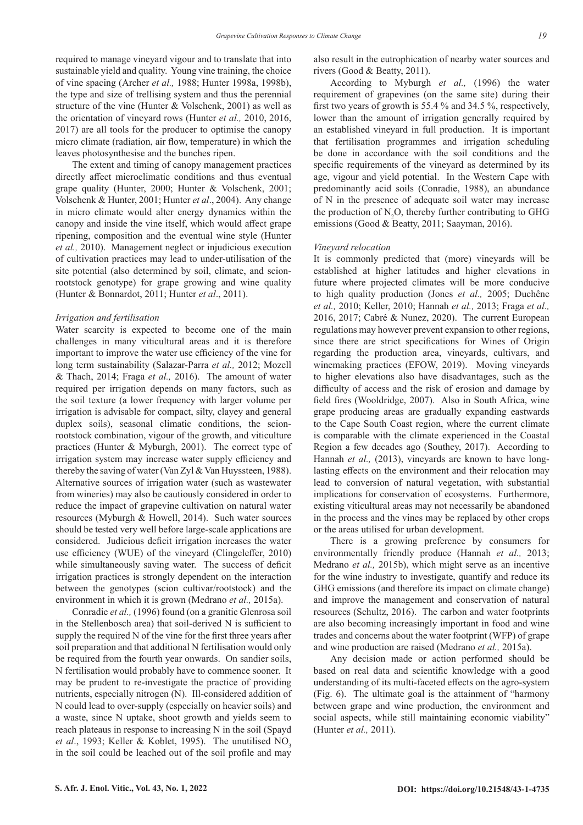required to manage vineyard vigour and to translate that into sustainable yield and quality. Young vine training, the choice of vine spacing (Archer *et al.,* 1988; Hunter 1998a, 1998b), the type and size of trellising system and thus the perennial structure of the vine (Hunter & Volschenk, 2001) as well as the orientation of vineyard rows (Hunter *et al.,* 2010, 2016, 2017) are all tools for the producer to optimise the canopy micro climate (radiation, air flow, temperature) in which the leaves photosynthesise and the bunches ripen.

The extent and timing of canopy management practices directly affect microclimatic conditions and thus eventual grape quality (Hunter, 2000; Hunter & Volschenk, 2001; Volschenk & Hunter, 2001; Hunter *et al*., 2004). Any change in micro climate would alter energy dynamics within the canopy and inside the vine itself, which would affect grape ripening, composition and the eventual wine style (Hunter *et al.,* 2010). Management neglect or injudicious execution of cultivation practices may lead to under-utilisation of the site potential (also determined by soil, climate, and scionrootstock genotype) for grape growing and wine quality (Hunter & Bonnardot, 2011; Hunter *et al*., 2011).

## *Irrigation and fertilisation*

Water scarcity is expected to become one of the main challenges in many viticultural areas and it is therefore important to improve the water use efficiency of the vine for long term sustainability (Salazar-Parra *et al.,* 2012; Mozell & Thach, 2014; Fraga *et al.,* 2016). The amount of water required per irrigation depends on many factors, such as the soil texture (a lower frequency with larger volume per irrigation is advisable for compact, silty, clayey and general duplex soils), seasonal climatic conditions, the scionrootstock combination, vigour of the growth, and viticulture practices (Hunter & Myburgh, 2001). The correct type of irrigation system may increase water supply efficiency and thereby the saving of water (Van Zyl & Van Huyssteen, 1988). Alternative sources of irrigation water (such as wastewater from wineries) may also be cautiously considered in order to reduce the impact of grapevine cultivation on natural water resources (Myburgh & Howell, 2014). Such water sources should be tested very well before large-scale applications are considered. Judicious deficit irrigation increases the water use efficiency (WUE) of the vineyard (Clingeleffer, 2010) while simultaneously saving water. The success of deficit irrigation practices is strongly dependent on the interaction between the genotypes (scion cultivar/rootstock) and the environment in which it is grown (Medrano *et al.,* 2015a).

Conradie *et al.,* (1996) found (on a granitic Glenrosa soil in the Stellenbosch area) that soil-derived N is sufficient to supply the required N of the vine for the first three years after soil preparation and that additional N fertilisation would only be required from the fourth year onwards. On sandier soils, N fertilisation would probably have to commence sooner. It may be prudent to re-investigate the practice of providing nutrients, especially nitrogen (N). Ill-considered addition of N could lead to over-supply (especially on heavier soils) and a waste, since N uptake, shoot growth and yields seem to reach plateaus in response to increasing N in the soil (Spayd *et al.*, 1993; Keller & Koblet, 1995). The unutilised NO<sub>2</sub> in the soil could be leached out of the soil profile and may

also result in the eutrophication of nearby water sources and rivers (Good & Beatty, 2011).

According to Myburgh *et al.,* (1996) the water requirement of grapevines (on the same site) during their first two years of growth is 55.4 % and 34.5 %, respectively, lower than the amount of irrigation generally required by an established vineyard in full production. It is important that fertilisation programmes and irrigation scheduling be done in accordance with the soil conditions and the specific requirements of the vineyard as determined by its age, vigour and yield potential. In the Western Cape with predominantly acid soils (Conradie, 1988), an abundance of N in the presence of adequate soil water may increase the production of  $N_2O$ , thereby further contributing to GHG emissions (Good & Beatty, 2011; Saayman, 2016).

#### *Vineyard relocation*

It is commonly predicted that (more) vineyards will be established at higher latitudes and higher elevations in future where projected climates will be more conducive to high quality production (Jones *et al.,* 2005; Duchêne *et al.,* 2010; Keller, 2010; Hannah *et al.,* 2013; Fraga *et al.,*  2016, 2017; Cabré & Nunez, 2020). The current European regulations may however prevent expansion to other regions, since there are strict specifications for Wines of Origin regarding the production area, vineyards, cultivars, and winemaking practices (EFOW, 2019). Moving vineyards to higher elevations also have disadvantages, such as the difficulty of access and the risk of erosion and damage by field fires (Wooldridge, 2007). Also in South Africa, wine grape producing areas are gradually expanding eastwards to the Cape South Coast region, where the current climate is comparable with the climate experienced in the Coastal Region a few decades ago (Southey, 2017). According to Hannah *et al.*, (2013), vineyards are known to have longlasting effects on the environment and their relocation may lead to conversion of natural vegetation, with substantial implications for conservation of ecosystems. Furthermore, existing viticultural areas may not necessarily be abandoned in the process and the vines may be replaced by other crops or the areas utilised for urban development.

There is a growing preference by consumers for environmentally friendly produce (Hannah *et al.,* 2013; Medrano *et al.,* 2015b), which might serve as an incentive for the wine industry to investigate, quantify and reduce its GHG emissions (and therefore its impact on climate change) and improve the management and conservation of natural resources (Schultz, 2016). The carbon and water footprints are also becoming increasingly important in food and wine trades and concerns about the water footprint (WFP) of grape and wine production are raised (Medrano *et al.,* 2015a).

Any decision made or action performed should be based on real data and scientific knowledge with a good understanding of its multi-faceted effects on the agro-system (Fig. 6). The ultimate goal is the attainment of "harmony between grape and wine production, the environment and social aspects, while still maintaining economic viability" (Hunter *et al.,* 2011).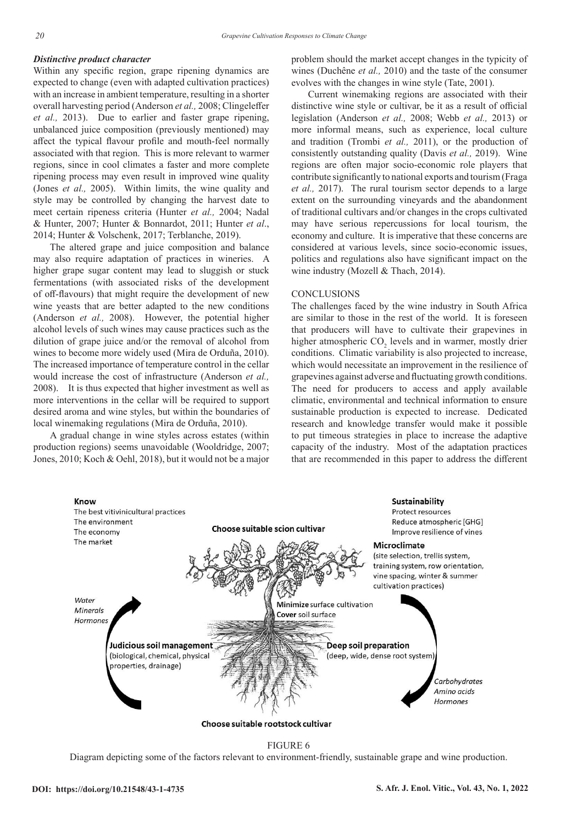# *Distinctive product character*

Within any specific region, grape ripening dynamics are expected to change (even with adapted cultivation practices) with an increase in ambient temperature, resulting in a shorter overall harvesting period (Anderson *et al.,* 2008; Clingeleffer *et al.,* 2013). Due to earlier and faster grape ripening, unbalanced juice composition (previously mentioned) may affect the typical flavour profile and mouth-feel normally associated with that region. This is more relevant to warmer regions, since in cool climates a faster and more complete ripening process may even result in improved wine quality (Jones *et al.,* 2005). Within limits, the wine quality and style may be controlled by changing the harvest date to meet certain ripeness criteria (Hunter *et al.,* 2004; Nadal & Hunter, 2007; Hunter & Bonnardot, 2011; Hunter *et al*., 2014; Hunter & Volschenk, 2017; Terblanche, 2019).

The altered grape and juice composition and balance may also require adaptation of practices in wineries. A higher grape sugar content may lead to sluggish or stuck fermentations (with associated risks of the development of off-flavours) that might require the development of new wine yeasts that are better adapted to the new conditions (Anderson *et al.,* 2008). However, the potential higher alcohol levels of such wines may cause practices such as the dilution of grape juice and/or the removal of alcohol from wines to become more widely used (Mira de Orduña, 2010). The increased importance of temperature control in the cellar would increase the cost of infrastructure (Anderson *et al.,* 2008). It is thus expected that higher investment as well as more interventions in the cellar will be required to support desired aroma and wine styles, but within the boundaries of local winemaking regulations (Mira de Orduña, 2010).

A gradual change in wine styles across estates (within production regions) seems unavoidable (Wooldridge, 2007; Jones, 2010; Koch & Oehl, 2018), but it would not be a major problem should the market accept changes in the typicity of wines (Duchêne *et al.,* 2010) and the taste of the consumer evolves with the changes in wine style (Tate, 2001).

Current winemaking regions are associated with their distinctive wine style or cultivar, be it as a result of official legislation (Anderson *et al.,* 2008; Webb *et al.,* 2013) or more informal means, such as experience, local culture and tradition (Trombi *et al.,* 2011), or the production of consistently outstanding quality (Davis *et al.,* 2019). Wine regions are often major socio-economic role players that contribute significantly to national exports and tourism (Fraga *et al.,* 2017). The rural tourism sector depends to a large extent on the surrounding vineyards and the abandonment of traditional cultivars and/or changes in the crops cultivated may have serious repercussions for local tourism, the economy and culture. It is imperative that these concerns are considered at various levels, since socio-economic issues, politics and regulations also have significant impact on the wine industry (Mozell & Thach, 2014).

# **CONCLUSIONS**

The challenges faced by the wine industry in South Africa are similar to those in the rest of the world. It is foreseen that producers will have to cultivate their grapevines in higher atmospheric  $CO_2$  levels and in warmer, mostly drier conditions. Climatic variability is also projected to increase, which would necessitate an improvement in the resilience of grapevines against adverse and fluctuating growth conditions. The need for producers to access and apply available climatic, environmental and technical information to ensure sustainable production is expected to increase. Dedicated research and knowledge transfer would make it possible to put timeous strategies in place to increase the adaptive capacity of the industry. Most of the adaptation practices that are recommended in this paper to address the different



FIGURE 6

Diagram depicting some of the factors relevant to environment-friendly, sustainable grape and wine production.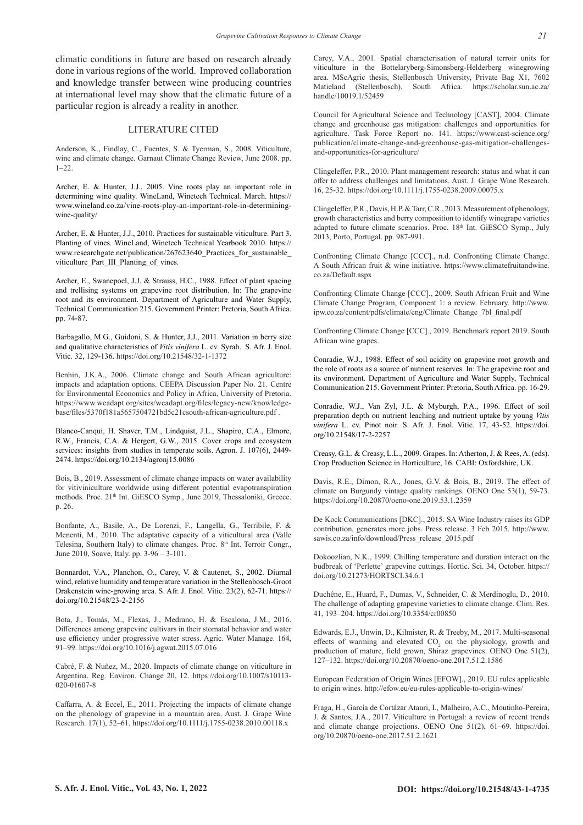climatic conditions in future are based on research already done in various regions of the world. Improved collaboration and knowledge transfer between wine producing countries at international level may show that the climatic future of a particular region is already a reality in another.

## LITERATURE CITED

Anderson, K., Findlay, C., Fuentes, S. & Tyerman, S., 2008. Viticulture, wine and climate change. Garnaut Climate Change Review, June 2008. pp. 1–22.

Archer, E. & Hunter, J.J., 2005. Vine roots play an important role in determining wine quality. WineLand, Winetech Technical. March. https:// www.wineland.co.za/vine-roots-play-an-important-role-in-determiningwine-quality/

Archer, E. & Hunter, J.J., 2010. Practices for sustainable viticulture. Part 3. Planting of vines. WineLand, Winetech Technical Yearbook 2010. https:// www.researchgate.net/publication/267623640\_Practices\_for\_sustainable\_ viticulture\_Part\_III\_Planting\_of\_vines.

Archer, E., Swanepoel, J.J. & Strauss, H.C., 1988. Effect of plant spacing and trellising systems on grapevine root distribution. In: The grapevine root and its environment. Department of Agriculture and Water Supply, Technical Communication 215. Government Printer: Pretoria, South Africa. pp. 74-87.

Barbagallo, M.G., Guidoni, S. & Hunter, J.J., 2011. Variation in berry size and qualitative characteristics of *Vitis vinifera* L. cv. Syrah. S. Afr. J. Enol. Vitic. 32, 129-136. https://doi.org/10.21548/32-1-1372

Benhin, J.K.A., 2006. Climate change and South African agriculture: impacts and adaptation options. CEEPA Discussion Paper No. 21. Centre for Environmental Economics and Policy in Africa, University of Pretoria. https://www.weadapt.org/sites/weadapt.org/files/legacy-new/knowledgebase/files/5370f181a5657504721bd5c21csouth-african-agriculture.pdf .

Blanco-Canqui, H. Shaver, T.M., Lindquist, J.L., Shapiro, C.A., Elmore, R.W., Francis, C.A. & Hergert, G.W., 2015. Cover crops and ecosystem services: insights from studies in temperate soils. Agron. J. 107(6), 2449- 2474. https://doi.org/10.2134/agronj15.0086

Bois, B., 2019. Assessment of climate change impacts on water availability for vitiviniculture worldwide using different potential evapotranspiration methods. Proc. 21<sup>th</sup> Int. GiESCO Symp., June 2019, Thessaloniki, Greece. p. 26.

Bonfante, A., Basile, A., De Lorenzi, F., Langella, G., Terribile, F. & Menenti, M., 2010. The adaptative capacity of a viticultural area (Valle Telesina, Southern Italy) to climate changes. Proc. 8<sup>th</sup> Int. Terroir Congr., June 2010, Soave, Italy. pp. 3-96 – 3-101.

Bonnardot, V.A., Planchon, O., Carey, V. & Cautenet, S., 2002. Diurnal wind, relative humidity and temperature variation in the Stellenbosch-Groot Drakenstein wine-growing area. S. Afr. J. Enol. Vitic. 23(2), 62-71. https:// doi.org/10.21548/23-2-2156

Bota, J., Tomás, M., Flexas, J., Medrano, H. & Escalona, J.M., 2016. Differences among grapevine cultivars in their stomatal behavior and water use efficiency under progressive water stress. Agric. Water Manage. 164, 91–99. https://doi.org/10.1016/j.agwat.2015.07.016

Cabré, F. & Nuñez, M., 2020. Impacts of climate change on viticulture in Argentina. Reg. Environ. Change 20, 12. https://doi.org/10.1007/s10113- 020-01607-8

Caffarra, A. & Eccel, E., 2011. Projecting the impacts of climate change on the phenology of grapevine in a mountain area. Aust. J. Grape Wine Research. 17(1), 52–61. https://doi.org/10.1111/j.1755-0238.2010.00118.x

Carey, V.A., 2001. Spatial characterisation of natural terroir units for viticulture in the Bottelaryberg-Simonsberg-Helderberg winegrowing area. MScAgric thesis, Stellenbosch University, Private Bag X1, 7602 Matieland (Stellenbosch), South Africa. https://scholar.sun.ac.za/ handle/10019.1/52459

Council for Agricultural Science and Technology [CAST], 2004. Climate change and greenhouse gas mitigation: challenges and opportunities for agriculture. Task Force Report no. 141. https://www.cast-science.org/ publication/climate-change-and-greenhouse-gas-mitigation-challengesand-opportunities-for-agriculture/

Clingeleffer, P.R., 2010. Plant management research: status and what it can offer to address challenges and limitations. Aust. J. Grape Wine Research. 16, 25-32. https://doi.org/10.1111/j.1755-0238.2009.00075.x

Clingeleffer, P.R., Davis, H.P. & Tarr, C.R., 2013. Measurement of phenology, growth characteristics and berry composition to identify winegrape varieties adapted to future climate scenarios. Proc. 18th Int. GiESCO Symp., July 2013, Porto, Portugal. pp. 987-991.

Confronting Climate Change [CCC]., n.d. Confronting Climate Change. A South African fruit & wine initiative. https://www.climatefruitandwine. co.za/Default.aspx

Confronting Climate Change [CCC]., 2009. South African Fruit and Wine Climate Change Program, Component 1: a review. February. http://www. ipw.co.za/content/pdfs/climate/eng/Climate\_Change\_7bl\_final.pdf

Confronting Climate Change [CCC]., 2019. Benchmark report 2019. South African wine grapes.

Conradie, W.J., 1988. Effect of soil acidity on grapevine root growth and the role of roots as a source of nutrient reserves. In: The grapevine root and its environment. Department of Agriculture and Water Supply, Technical Communication 215. Government Printer: Pretoria, South Africa. pp. 16-29.

Conradie, W.J., Van Zyl, J.L. & Myburgh, P.A., 1996. Effect of soil preparation depth on nutrient leaching and nutrient uptake by young *Vitis vinifera* L. cv. Pinot noir. S. Afr. J. Enol. Vitic. 17, 43-52. https://doi. org/10.21548/17-2-2257

Creasy, G.L. & Creasy, L.L., 2009. Grapes. In: Atherton, J. & Rees, A. (eds). Crop Production Science in Horticulture, 16. CABI: Oxfordshire, UK.

Davis, R.E., Dimon, R.A., Jones, G.V. & Bois, B., 2019. The effect of climate on Burgundy vintage quality rankings. OENO One 53(1), 59-73. https://doi.org/10.20870/oeno-one.2019.53.1.2359

De Kock Communications [DKC]., 2015. SA Wine Industry raises its GDP contribution, generates more jobs. Press release. 3 Feb 2015. http://www. sawis.co.za/info/download/Press\_release\_2015.pdf

Dokoozlian, N.K., 1999. Chilling temperature and duration interact on the budbreak of 'Perlette' grapevine cuttings. Hortic. Sci. 34, October. https:// doi.org/10.21273/HORTSCI.34.6.1

Duchêne, E., Huard, F., Dumas, V., Schneider, C. & Merdinoglu, D., 2010. The challenge of adapting grapevine varieties to climate change. Clim. Res. 41, 193–204. https://doi.org/10.3354/cr00850

Edwards, E.J., Unwin, D., Kilmister, R. & Treeby, M., 2017. Multi-seasonal effects of warming and elevated  $CO<sub>2</sub>$  on the physiology, growth and production of mature, field grown, Shiraz grapevines. OENO One 51(2), 127–132. https://doi.org/10.20870/oeno-one.2017.51.2.1586

European Federation of Origin Wines [EFOW]., 2019. EU rules applicable to origin wines. http://efow.eu/eu-rules-applicable-to-origin-wines/

Fraga, H., García de Cortázar Atauri, I., Malheiro, A.C., Moutinho-Pereira, J. & Santos, J.A., 2017. Viticulture in Portugal: a review of recent trends and climate change projections. OENO One 51(2), 61–69. https://doi. org/10.20870/oeno-one.2017.51.2.1621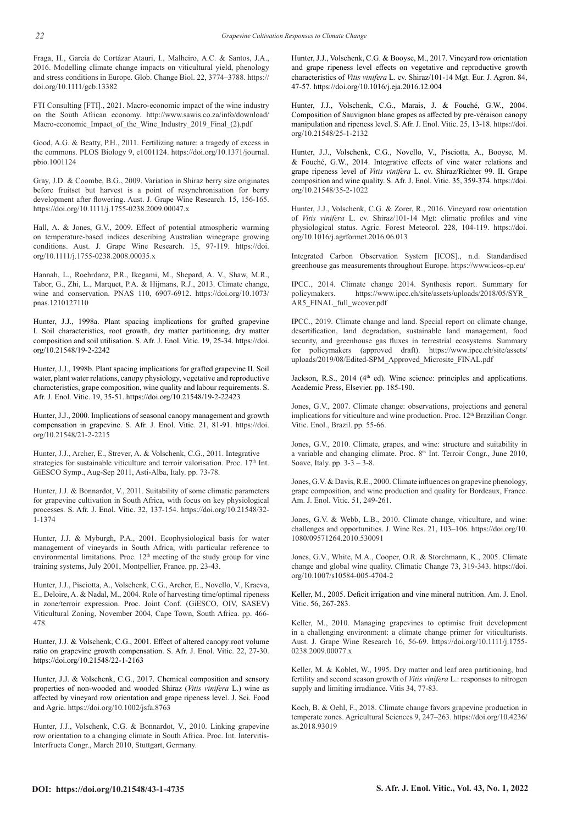Fraga, H., García de Cortázar Atauri, I., Malheiro, A.C. & Santos, J.A., 2016. Modelling climate change impacts on viticultural yield, phenology and stress conditions in Europe. Glob. Change Biol. 22, 3774–3788. https:// doi.org/10.1111/gcb.13382

FTI Consulting [FTI]., 2021. Macro-economic impact of the wine industry on the South African economy. http://www.sawis.co.za/info/download/ Macro-economic\_Impact\_of\_the\_Wine\_Industry\_2019\_Final\_(2).pdf

Good, A.G. & Beatty, P.H., 2011. Fertilizing nature: a tragedy of excess in the commons. PLOS Biology 9, e1001124. https://doi.org/10.1371/journal. pbio.1001124

Gray, J.D. & Coombe, B.G., 2009. Variation in Shiraz berry size originates before fruitset but harvest is a point of resynchronisation for berry development after flowering. Aust. J. Grape Wine Research. 15, 156-165. https://doi.org/10.1111/j.1755-0238.2009.00047.x

Hall, A. & Jones, G.V., 2009. Effect of potential atmospheric warming on temperature-based indices describing Australian winegrape growing conditions. Aust. J. Grape Wine Research. 15, 97-119. https://doi. org/10.1111/j.1755-0238.2008.00035.x

Hannah, L., Roehrdanz, P.R., Ikegami, M., Shepard, A. V., Shaw, M.R., Tabor, G., Zhi, L., Marquet, P.A. & Hijmans, R.J., 2013. Climate change, wine and conservation. PNAS 110, 6907-6912. https://doi.org/10.1073/ pnas.1210127110

Hunter, J.J., 1998a. Plant spacing implications for grafted grapevine I. Soil characteristics, root growth, dry matter partitioning, dry matter composition and soil utilisation. S. Afr. J. Enol. Vitic. 19, 25-34. https://doi. org/10.21548/19-2-2242

Hunter, J.J., 1998b. Plant spacing implications for grafted grapevine II. Soil water, plant water relations, canopy physiology, vegetative and reproductive characteristics, grape composition, wine quality and labour requirements. S. Afr. J. Enol. Vitic. 19, 35-51. https://doi.org/10.21548/19-2-22423

Hunter, J.J., 2000. Implications of seasonal canopy management and growth compensation in grapevine. S. Afr. J. Enol. Vitic. 21, 81-91. https://doi. org/10.21548/21-2-2215

Hunter, J.J., Archer, E., Strever, A. & Volschenk, C.G., 2011. Integrative strategies for sustainable viticulture and terroir valorisation. Proc.  $17<sup>th</sup>$  Int. GiESCO Symp., Aug-Sep 2011, Asti-Alba, Italy. pp. 73-78.

Hunter, J.J. & Bonnardot, V., 2011. Suitability of some climatic parameters for grapevine cultivation in South Africa, with focus on key physiological processes. S. Afr. J. Enol. Vitic. 32, 137-154. https://doi.org/10.21548/32- 1-1374

Hunter, J.J. & Myburgh, P.A., 2001. Ecophysiological basis for water management of vineyards in South Africa, with particular reference to environmental limitations. Proc. 12<sup>th</sup> meeting of the study group for vine training systems, July 2001, Montpellier, France. pp. 23-43.

Hunter, J.J., Pisciotta, A., Volschenk, C.G., Archer, E., Novello, V., Kraeva, E., Deloire, A. & Nadal, M., 2004. Role of harvesting time/optimal ripeness in zone/terroir expression. Proc. Joint Conf. (GiESCO, OIV, SASEV) Viticultural Zoning, November 2004, Cape Town, South Africa. pp. 466- 478.

Hunter, J.J. & Volschenk, C.G., 2001. Effect of altered canopy:root volume ratio on grapevine growth compensation. S. Afr. J. Enol. Vitic. 22, 27-30. https://doi.org/10.21548/22-1-2163

Hunter, J.J. & Volschenk, C.G., 2017. Chemical composition and sensory properties of non-wooded and wooded Shiraz (*Vitis vinifera* L.) wine as affected by vineyard row orientation and grape ripeness level. J. Sci. Food and Agric. https://doi.org/10.1002/jsfa.8763

Hunter, J.J., Volschenk, C.G. & Bonnardot, V., 2010. Linking grapevine row orientation to a changing climate in South Africa. Proc. Int. Intervitis-Interfructa Congr., March 2010, Stuttgart, Germany.

Hunter, J.J., Volschenk, C.G. & Booyse, M., 2017. Vineyard row orientation and grape ripeness level effects on vegetative and reproductive growth characteristics of *Vitis vinifera* L. cv. Shiraz/101-14 Mgt. Eur. J. Agron. 84, 47-57. https://doi.org/10.1016/j.eja.2016.12.004

Hunter, J.J., Volschenk, C.G., Marais, J. & Fouché, G.W., 2004. Composition of Sauvignon blanc grapes as affected by pre-véraison canopy manipulation and ripeness level. S. Afr. J. Enol. Vitic. 25, 13-18. https://doi. org/10.21548/25-1-2132

Hunter, J.J., Volschenk, C.G., Novello, V., Pisciotta, A., Booyse, M. & Fouché, G.W., 2014. Integrative effects of vine water relations and grape ripeness level of *Vitis vinifera* L. cv. Shiraz/Richter 99. II. Grape composition and wine quality. S. Afr. J. Enol. Vitic. 35, 359-374. https://doi. org/10.21548/35-2-1022

Hunter, J.J., Volschenk, C.G. & Zorer, R., 2016. Vineyard row orientation of *Vitis vinifera* L. cv. Shiraz/101-14 Mgt: climatic profiles and vine physiological status. Agric. Forest Meteorol. 228, 104-119. https://doi. org/10.1016/j.agrformet.2016.06.013

Integrated Carbon Observation System [ICOS]., n.d. Standardised greenhouse gas measurements throughout Europe. https://www.icos-cp.eu/

IPCC., 2014. Climate change 2014. Synthesis report. Summary for policymakers. https://www.ipcc.ch/site/assets/uploads/2018/05/SYR\_ AR5\_FINAL\_full\_wcover.pdf

IPCC., 2019. Climate change and land. Special report on climate change, desertification, land degradation, sustainable land management, food security, and greenhouse gas fluxes in terrestrial ecosystems. Summary for policymakers (approved draft). https://www.ipcc.ch/site/assets/ uploads/2019/08/Edited-SPM\_Approved\_Microsite\_FINAL.pdf

Jackson, R.S., 2014 (4<sup>th</sup> ed). Wine science: principles and applications. Academic Press, Elsevier. pp. 185-190.

Jones, G.V., 2007. Climate change: observations, projections and general implications for viticulture and wine production. Proc. 12<sup>th</sup> Brazilian Congr. Vitic. Enol., Brazil. pp. 55-66.

Jones, G.V., 2010. Climate, grapes, and wine: structure and suitability in a variable and changing climate. Proc.  $8<sup>th</sup>$  Int. Terroir Congr., June 2010, Soave, Italy. pp. 3-3 – 3-8.

Jones, G.V. & Davis, R.E., 2000. Climate influences on grapevine phenology, grape composition, and wine production and quality for Bordeaux, France. Am. J. Enol. Vitic. 51, 249-261.

Jones, G.V. & Webb, L.B., 2010. Climate change, viticulture, and wine: challenges and opportunities. J. Wine Res. 21, 103–106. https://doi.org/10. 1080/09571264.2010.530091

Jones, G.V., White, M.A., Cooper, O.R. & Storchmann, K., 2005. Climate change and global wine quality. Climatic Change 73, 319-343. https://doi. org/10.1007/s10584-005-4704-2

Keller, M., 2005. Deficit irrigation and vine mineral nutrition. Am. J. Enol. Vitic. 56, 267-283.

Keller, M., 2010. Managing grapevines to optimise fruit development in a challenging environment: a climate change primer for viticulturists. Aust. J. Grape Wine Research 16, 56-69. https://doi.org/10.1111/j.1755- 0238.2009.00077.x

Keller, M. & Koblet, W., 1995. Dry matter and leaf area partitioning, bud fertility and second season growth of *Vitis vinifera* L.: responses to nitrogen supply and limiting irradiance. Vitis 34, 77-83.

Koch, B. & Oehl, F., 2018. Climate change favors grapevine production in temperate zones. Agricultural Sciences 9, 247–263. https://doi.org/10.4236/ as.2018.93019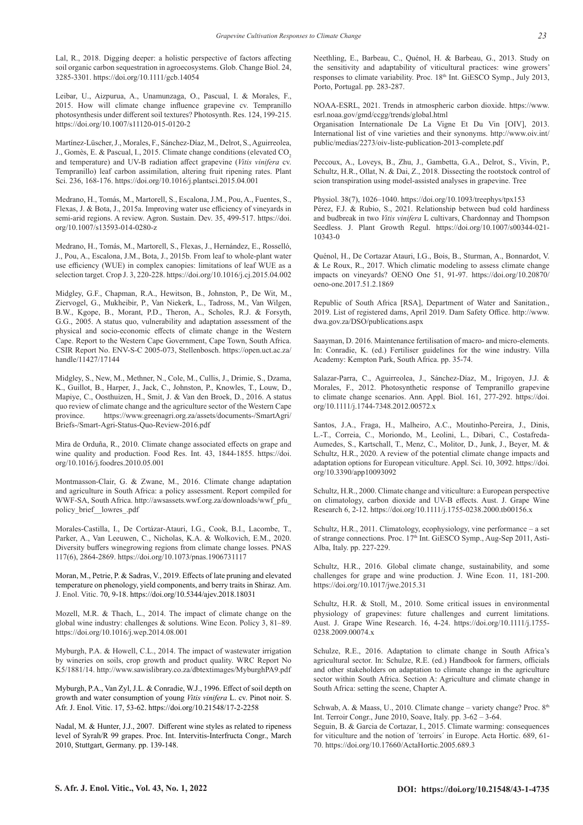Lal, R., 2018. Digging deeper: a holistic perspective of factors affecting soil organic carbon sequestration in agroecosystems. Glob. Change Biol. 24, 3285-3301. https://doi.org/10.1111/gcb.14054

Leibar, U., Aizpurua, A., Unamunzaga, O., Pascual, I. & Morales, F., 2015. How will climate change influence grapevine cv. Tempranillo photosynthesis under different soil textures? Photosynth. Res. 124, 199-215. https://doi.org/10.1007/s11120-015-0120-2

Martínez-Lüscher, J., Morales, F., Sánchez-Díaz, M., Delrot, S., Aguirreolea, J., Gomès, E. & Pascual, I., 2015. Climate change conditions (elevated CO<sub>2</sub>) and temperature) and UV-B radiation affect grapevine (*Vitis vinifera* cv. Tempranillo) leaf carbon assimilation, altering fruit ripening rates. Plant Sci. 236, 168-176. https://doi.org/10.1016/j.plantsci.2015.04.001

Medrano, H., Tomás, M., Martorell, S., Escalona, J.M., Pou, A., Fuentes, S., Flexas, J. & Bota, J., 2015a. Improving water use efficiency of vineyards in semi-arid regions. A review. Agron. Sustain. Dev. 35, 499-517. https://doi. org/10.1007/s13593-014-0280-z

Medrano, H., Tomás, M., Martorell, S., Flexas, J., Hernández, E., Rosselló, J., Pou, A., Escalona, J.M., Bota, J., 2015b. From leaf to whole-plant water use efficiency (WUE) in complex canopies: limitations of leaf WUE as a selection target. Crop J. 3, 220-228. https://doi.org/10.1016/j.cj.2015.04.002

Midgley, G.F., Chapman, R.A., Hewitson, B., Johnston, P., De Wit, M., Ziervogel, G., Mukheibir, P., Van Niekerk, L., Tadross, M., Van Wilgen, B.W., Kgope, B., Morant, P.D., Theron, A., Scholes, R.J. & Forsyth, G.G., 2005. A status quo, vulnerability and adaptation assessment of the physical and socio-economic effects of climate change in the Western Cape. Report to the Western Cape Government, Cape Town, South Africa. CSIR Report No. ENV-S-C 2005-073, Stellenbosch. https://open.uct.ac.za/ handle/11427/17144

Midgley, S., New, M., Methner, N., Cole, M., Cullis, J., Drimie, S., Dzama, K., Guillot, B., Harper, J., Jack, C., Johnston, P., Knowles, T., Louw, D., Mapiye, C., Oosthuizen, H., Smit, J. & Van den Broek, D., 2016. A status quo review of climate change and the agriculture sector of the Western Cape province. https://www.greenagri.org.za/assets/documents-/SmartAgri/ Briefs-/Smart-Agri-Status-Quo-Review-2016.pdf

Mira de Orduña, R., 2010. Climate change associated effects on grape and wine quality and production. Food Res. Int. 43, 1844-1855. https://doi. org/10.1016/j.foodres.2010.05.001

Montmasson-Clair, G. & Zwane, M., 2016. Climate change adaptation and agriculture in South Africa: a policy assessment. Report compiled for WWF-SA, South Africa. http://awsassets.wwf.org.za/downloads/wwf\_pfu\_ policy\_brief\_\_lowres\_.pdf

Morales-Castilla, I., De Cortázar-Atauri, I.G., Cook, B.I., Lacombe, T., Parker, A., Van Leeuwen, C., Nicholas, K.A. & Wolkovich, E.M., 2020. Diversity buffers winegrowing regions from climate change losses. PNAS 117(6), 2864-2869. https://doi.org/10.1073/pnas.1906731117

Moran, M., Petrie, P. & Sadras, V., 2019. Effects of late pruning and elevated temperature on phenology, yield components, and berry traits in Shiraz. Am. J. Enol. Vitic. 70, 9-18. https://doi.org/10.5344/ajev.2018.18031

Mozell, M.R. & Thach, L., 2014. The impact of climate change on the global wine industry: challenges & solutions. Wine Econ. Policy 3, 81–89. https://doi.org/10.1016/j.wep.2014.08.001

Myburgh, P.A. & Howell, C.L., 2014. The impact of wastewater irrigation by wineries on soils, crop growth and product quality. WRC Report No K5/1881/14. http://www.sawislibrary.co.za/dbtextimages/MyburghPA9.pdf

Myburgh, P.A., Van Zyl, J.L. & Conradie, W.J., 1996. Effect of soil depth on growth and water consumption of young *Vitis vinifera* L. cv. Pinot noir. S. Afr. J. Enol. Vitic. 17, 53-62. https://doi.org/10.21548/17-2-2258

Nadal, M. & Hunter, J.J., 2007. Different wine styles as related to ripeness level of Syrah/R 99 grapes. Proc. Int. Intervitis-Interfructa Congr., March 2010, Stuttgart, Germany. pp. 139-148.

Neethling, E., Barbeau, C., Quénol, H. & Barbeau, G., 2013. Study on the sensitivity and adaptability of viticultural practices: wine growers' responses to climate variability. Proc. 18th Int. GiESCO Symp., July 2013, Porto, Portugal. pp. 283-287.

NOAA-ESRL, 2021. Trends in atmospheric carbon dioxide. https://www. esrl.noaa.gov/gmd/ccgg/trends/global.html

Organisation Internationale De La Vigne Et Du Vin [OIV], 2013. International list of vine varieties and their synonyms. http://www.oiv.int/ public/medias/2273/oiv-liste-publication-2013-complete.pdf

Peccoux, A., Loveys, B., Zhu, J., Gambetta, G.A., Delrot, S., Vivin, P., Schultz, H.R., Ollat, N. & Dai, Z., 2018. Dissecting the rootstock control of scion transpiration using model-assisted analyses in grapevine. Tree

Physiol. 38(7), 1026–1040. https://doi.org/10.1093/treephys/tpx153 Pérez, F.J. & Rubio, S., 2021. Relationship between bud cold hardiness and budbreak in two *Vitis vinifera* L cultivars, Chardonnay and Thompson Seedless. J. Plant Growth Regul. https://doi.org/10.1007/s00344-021- 10343-0

Quénol, H., De Cortazar Atauri, I.G., Bois, B., Sturman, A., Bonnardot, V. & Le Roux, R., 2017. Which climatic modeling to assess climate change impacts on vineyards? OENO One 51, 91-97. https://doi.org/10.20870/ oeno-one.2017.51.2.1869

Republic of South Africa [RSA], Department of Water and Sanitation., 2019. List of registered dams, April 2019. Dam Safety Office. http://www. dwa.gov.za/DSO/publications.aspx

Saayman, D. 2016. Maintenance fertilisation of macro- and micro-elements. In: Conradie, K. (ed.) Fertiliser guidelines for the wine industry. Villa Academy: Kempton Park, South Africa. pp. 35-74.

Salazar-Parra, C., Aguirreolea, J., Sánchez‐Díaz, M., Irigoyen, J.J. & Morales, F., 2012. Photosynthetic response of Tempranillo grapevine to climate change scenarios. Ann. Appl. Biol. 161, 277-292. https://doi. org/10.1111/j.1744-7348.2012.00572.x

Santos, J.A., Fraga, H., Malheiro, A.C., Moutinho-Pereira, J., Dinis, L.-T., Correia, C., Moriondo, M., Leolini, L., Dibari, C., Costafreda-Aumedes, S., Kartschall, T., Menz, C., Molitor, D., Junk, J., Beyer, M. & Schultz, H.R., 2020. A review of the potential climate change impacts and adaptation options for European viticulture. Appl. Sci. 10, 3092. https://doi. org/10.3390/app10093092

Schultz, H.R., 2000. Climate change and viticulture: a European perspective on climatology, carbon dioxide and UV-B effects. Aust. J. Grape Wine Research 6, 2-12. https://doi.org/10.1111/j.1755-0238.2000.tb00156.x

Schultz, H.R., 2011. Climatology, ecophysiology, vine performance – a set of strange connections. Proc. 17<sup>th</sup> Int. GiESCO Symp., Aug-Sep 2011, Asti-Alba, Italy. pp. 227-229.

Schultz, H.R., 2016. Global climate change, sustainability, and some challenges for grape and wine production. J. Wine Econ. 11, 181-200. https://doi.org/10.1017/jwe.2015.31

Schultz, H.R. & Stoll, M., 2010. Some critical issues in environmental physiology of grapevines: future challenges and current limitations. Aust. J. Grape Wine Research. 16, 4-24. https://doi.org/10.1111/j.1755- 0238.2009.00074.x

Schulze, R.E., 2016. Adaptation to climate change in South Africa's agricultural sector. In: Schulze, R.E. (ed.) Handbook for farmers, officials and other stakeholders on adaptation to climate change in the agriculture sector within South Africa. Section A: Agriculture and climate change in South Africa: setting the scene, Chapter A.

Schwab, A. & Maass, U., 2010. Climate change – variety change? Proc. 8th Int. Terroir Congr., June 2010, Soave, Italy. pp. 3-62 – 3-64.

Seguin, B. & Garcia de Cortazar, I., 2015. Climate warming: consequences for viticulture and the notion of ´terroirs´ in Europe. Acta Hortic. 689, 61- 70. https://doi.org/10.17660/ActaHortic.2005.689.3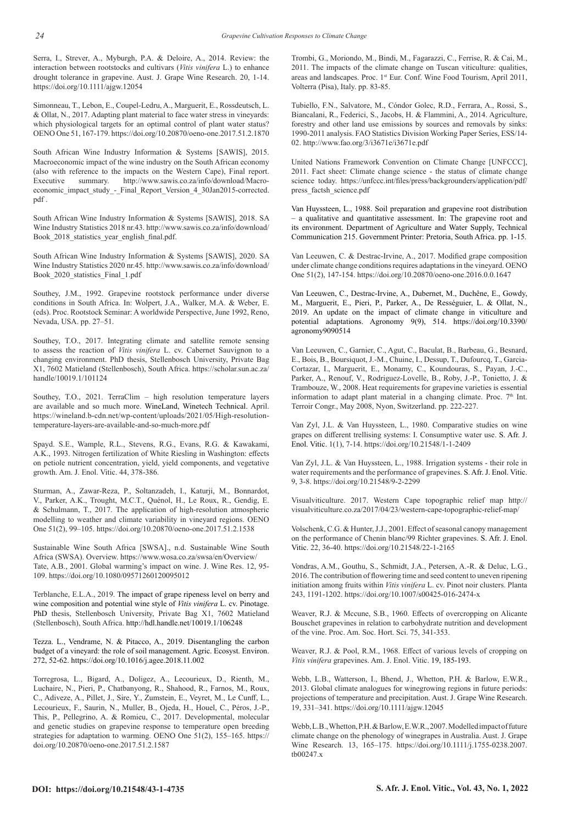Serra, I., Strever, A., Myburgh, P.A. & Deloire, A., 2014. Review: the interaction between rootstocks and cultivars (*Vitis vinifera* L.) to enhance drought tolerance in grapevine. Aust. J. Grape Wine Research. 20, 1-14. https://doi.org/10.1111/ajgw.12054

Simonneau, T., Lebon, E., Coupel-Ledru, A., Marguerit, E., Rossdeutsch, L. & Ollat, N., 2017. Adapting plant material to face water stress in vineyards: which physiological targets for an optimal control of plant water status? OENO One 51, 167-179. https://doi.org/10.20870/oeno-one.2017.51.2.1870

South African Wine Industry Information & Systems [SAWIS], 2015. Macroeconomic impact of the wine industry on the South African economy (also with reference to the impacts on the Western Cape), Final report.<br>Executive summary. http://www.sawis.co.za/info/download/Macrosummary. http://www.sawis.co.za/info/download/Macroeconomic\_impact\_study\_-\_Final\_Report\_Version\_4\_30Jan2015-corrected. pdf .

South African Wine Industry Information & Systems [SAWIS], 2018. SA Wine Industry Statistics 2018 nr.43. http://www.sawis.co.za/info/download/ Book 2018 statistics year english final.pdf.

South African Wine Industry Information & Systems [SAWIS], 2020. SA Wine Industry Statistics 2020 nr.45. http://www.sawis.co.za/info/download/ Book\_2020\_statistics\_Final\_1.pdf

Southey, J.M., 1992. Grapevine rootstock performance under diverse conditions in South Africa. In: Wolpert, J.A., Walker, M.A. & Weber, E. (eds). Proc. Rootstock Seminar: A worldwide Perspective, June 1992, Reno, Nevada, USA. pp. 27–51.

Southey, T.O., 2017. Integrating climate and satellite remote sensing to assess the reaction of *Vitis vinifera* L. cv. Cabernet Sauvignon to a changing environment. PhD thesis, Stellenbosch University, Private Bag X1, 7602 Matieland (Stellenbosch), South Africa. https://scholar.sun.ac.za/ handle/10019.1/101124

Southey, T.O., 2021. TerraClim – high resolution temperature layers are available and so much more. WineLand, Winetech Technical. April. https://wineland.b-cdn.net/wp-content/uploads/2021/05/High-resolutiontemperature-layers-are-available-and-so-much-more.pdf

Spayd. S.E., Wample, R.L., Stevens, R.G., Evans, R.G. & Kawakami, A.K., 1993. Nitrogen fertilization of White Riesling in Washington: effects on petiole nutrient concentration, yield, yield components, and vegetative growth. Am. J. Enol. Vitic. 44, 378-386.

Sturman, A., Zawar-Reza, P., Soltanzadeh, I., Katurji, M., Bonnardot, V., Parker, A.K., Trought, M.C.T., Quénol, H., Le Roux, R., Gendig, E. & Schulmann, T., 2017. The application of high-resolution atmospheric modelling to weather and climate variability in vineyard regions. OENO One 51(2), 99–105. https://doi.org/10.20870/oeno-one.2017.51.2.1538

Sustainable Wine South Africa [SWSA]., n.d. Sustainable Wine South Africa (SWSA). Overview. https://www.wosa.co.za/swsa/en/Overview/ Tate, A.B., 2001. Global warming's impact on wine. J. Wine Res. 12, 95- 109. https://doi.org/10.1080/09571260120095012

Terblanche, E.L.A., 2019. The impact of grape ripeness level on berry and wine composition and potential wine style of *Vitis vinifera* L. cv. Pinotage. PhD thesis, Stellenbosch University, Private Bag X1, 7602 Matieland (Stellenbosch), South Africa. http://hdl.handle.net/10019.1/106248

Tezza. L., Vendrame, N. & Pitacco, A., 2019. Disentangling the carbon budget of a vineyard: the role of soil management. Agric. Ecosyst. Environ. 272, 52-62. https://doi.org/10.1016/j.agee.2018.11.002

Torregrosa, L., Bigard, A., Doligez, A., Lecourieux, D., Rienth, M., Luchaire, N., Pieri, P., Chatbanyong, R., Shahood, R., Farnos, M., Roux, C., Adiveze, A., Pillet, J., Sire, Y., Zumstein, E., Veyret, M., Le Cunff, L., Lecourieux, F., Saurin, N., Muller, B., Ojeda, H., Houel, C., Péros, J.-P., This, P., Pellegrino, A. & Romieu, C., 2017. Developmental, molecular and genetic studies on grapevine response to temperature open breeding strategies for adaptation to warming. OENO One 51(2), 155–165. https:// doi.org/10.20870/oeno-one.2017.51.2.1587

Trombi, G., Moriondo, M., Bindi, M., Fagarazzi, C., Ferrise, R. & Cai, M., 2011. The impacts of the climate change on Tuscan viticulture: qualities, areas and landscapes. Proc. 1st Eur. Conf. Wine Food Tourism, April 2011, Volterra (Pisa), Italy. pp. 83-85.

Tubiello, F.N., Salvatore, M., Cóndor Golec, R.D., Ferrara, A., Rossi, S., Biancalani, R., Federici, S., Jacobs, H. & Flammini, A., 2014. Agriculture, forestry and other land use emissions by sources and removals by sinks: 1990-2011 analysis. FAO Statistics Division Working Paper Series, ESS/14- 02. http://www.fao.org/3/i3671e/i3671e.pdf

United Nations Framework Convention on Climate Change [UNFCCC], 2011. Fact sheet: Climate change science - the status of climate change science today. https://unfccc.int/files/press/backgrounders/application/pdf/ press\_factsh\_science.pdf

Van Huyssteen, L., 1988. Soil preparation and grapevine root distribution – a qualitative and quantitative assessment. In: The grapevine root and its environment. Department of Agriculture and Water Supply, Technical Communication 215. Government Printer: Pretoria, South Africa. pp. 1-15.

Van Leeuwen, C. & Destrac-Irvine, A., 2017. Modified grape composition under climate change conditions requires adaptations in the vineyard. OENO One 51(2), 147-154. https://doi.org/10.20870/oeno-one.2016.0.0.1647

Van Leeuwen, C., Destrac-Irvine, A., Dubernet, M., Duchêne, E., Gowdy, M., Marguerit, E., Pieri, P., Parker, A., De Rességuier, L. & Ollat, N., 2019. An update on the impact of climate change in viticulture and potential adaptations. Agronomy 9(9), 514. https://doi.org/10.3390/ agronomy9090514

Van Leeuwen, C., Garnier, C., Agut, C., Baculat, B., Barbeau, G., Besnard, E., Bois, B., Boursiquot, J.-M., Chuine, I., Dessup, T., Dufourcq, T., Garcia-Cortazar, I., Marguerit, E., Monamy, C., Koundouras, S., Payan, J.-C., Parker, A., Renouf, V., Rodriguez-Lovelle, B., Roby, J.-P., Tonietto, J. & Trambouze, W., 2008. Heat requirements for grapevine varieties is essential information to adapt plant material in a changing climate. Proc. 7<sup>th</sup> Int. Terroir Congr., May 2008, Nyon, Switzerland. pp. 222-227.

Van Zyl, J.L. & Van Huyssteen, L., 1980. Comparative studies on wine grapes on different trellising systems: I. Consumptive water use. S. Afr. J. Enol. Vitic. 1(1), 7-14. https://doi.org/10.21548/1-1-2409

Van Zyl, J.L. & Van Huyssteen, L., 1988. Irrigation systems - their role in water requirements and the performance of grapevines. S. Afr. J. Enol. Vitic. 9, 3-8. https://doi.org/10.21548/9-2-2299

Visualviticulture. 2017. Western Cape topographic relief map http:// visualviticulture.co.za/2017/04/23/western-cape-topographic-relief-map/

Volschenk, C.G. & Hunter, J.J., 2001. Effect of seasonal canopy management on the performance of Chenin blanc/99 Richter grapevines. S. Afr. J. Enol. Vitic. 22, 36-40. https://doi.org/10.21548/22-1-2165

Vondras, A.M., Gouthu, S., Schmidt, J.A., Petersen, A.-R. & Deluc, L.G., 2016. The contribution of flowering time and seed content to uneven ripening initiation among fruits within *Vitis vinifera* L. cv. Pinot noir clusters. Planta 243, 1191-1202. https://doi.org/10.1007/s00425-016-2474-x

Weaver, R.J. & Mccune, S.B., 1960. Effects of overcropping on Alicante Bouschet grapevines in relation to carbohydrate nutrition and development of the vine. Proc. Am. Soc. Hort. Sci. 75, 341-353.

Weaver, R.J. & Pool, R.M., 1968. Effect of various levels of cropping on *Vitis vinifera* grapevines. Am. J. Enol. Vitic. 19, 185-193.

Webb, L.B., Watterson, I., Bhend, J., Whetton, P.H. & Barlow, E.W.R., 2013. Global climate analogues for winegrowing regions in future periods: projections of temperature and precipitation. Aust. J. Grape Wine Research. 19, 331–341. https://doi.org/10.1111/ajgw.12045

Webb, L.B., Whetton, P.H. & Barlow, E.W.R., 2007. Modelled impact of future climate change on the phenology of winegrapes in Australia. Aust. J. Grape Wine Research. 13, 165–175. https://doi.org/10.1111/j.1755-0238.2007. tb00247.x